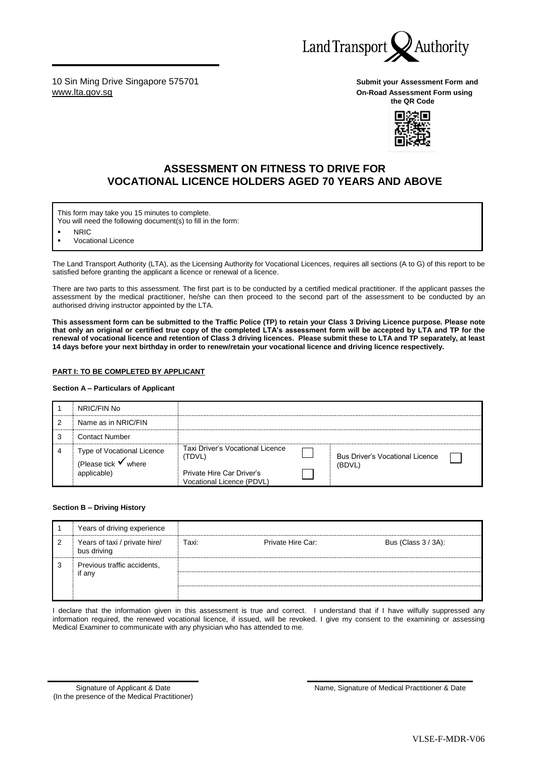

10 Sin Ming Drive Singapore 575701 **Submit your Assessment Form and**  [www.lta.gov.sg](http://www.lta.gov.sg/) **On-Road Assessment Form using**

**the QR Code**



## **ASSESSMENT ON FITNESS TO DRIVE FOR VOCATIONAL LICENCE HOLDERS AGED 70 YEARS AND ABOVE**

This form may take you 15 minutes to complete.

You will need the following document(s) to fill in the form:

**NRIC** 

**Vocational Licence** 

The Land Transport Authority (LTA), as the Licensing Authority for Vocational Licences, requires all sections (A to G) of this report to be satisfied before granting the applicant a licence or renewal of a licence.

There are two parts to this assessment. The first part is to be conducted by a certified medical practitioner. If the applicant passes the assessment by the medical practitioner, he/she can then proceed to the second part of the assessment to be conducted by an authorised driving instructor appointed by the LTA.

**This assessment form can be submitted to the Traffic Police (TP) to retain your Class 3 Driving Licence purpose. Please note that only an original or certified true copy of the completed LTA's assessment form will be accepted by LTA and TP for the renewal of vocational licence and retention of Class 3 driving licences. Please submit these to LTA and TP separately, at least 14 days before your next birthday in order to renew/retain your vocational licence and driving licence respectively.** 

#### **PART I: TO BE COMPLETED BY APPLICANT**

#### **Section A – Particulars of Applicant**

|   | NRIC/FIN No                                                   |                                                        |                                                  |  |
|---|---------------------------------------------------------------|--------------------------------------------------------|--------------------------------------------------|--|
| 2 | Name as in NRIC/FIN                                           |                                                        |                                                  |  |
| 3 | <b>Contact Number</b>                                         |                                                        |                                                  |  |
| 4 | Type of Vocational Licence<br>(Please tick $\checkmark$ where | Taxi Driver's Vocational Licence<br>(TDVL)             | <b>Bus Driver's Vocational Licence</b><br>(BDVL) |  |
|   | applicable)                                                   | Private Hire Car Driver's<br>Vocational Licence (PDVL) |                                                  |  |

#### **Section B – Driving History**

|   | Years of driving experience                  |       |                   |                     |
|---|----------------------------------------------|-------|-------------------|---------------------|
| 2 | Years of taxi / private hire/<br>bus driving | Taxi: | Private Hire Car: | Bus (Class 3 / 3A): |
| 3 | Previous traffic accidents,<br>if any        |       |                   |                     |

I declare that the information given in this assessment is true and correct. I understand that if I have wilfully suppressed any information required, the renewed vocational licence, if issued, will be revoked. I give my consent to the examining or assessing Medical Examiner to communicate with any physician who has attended to me.

Signature of Applicant & Date (In the presence of the Medical Practitioner) Name, Signature of Medical Practitioner & Date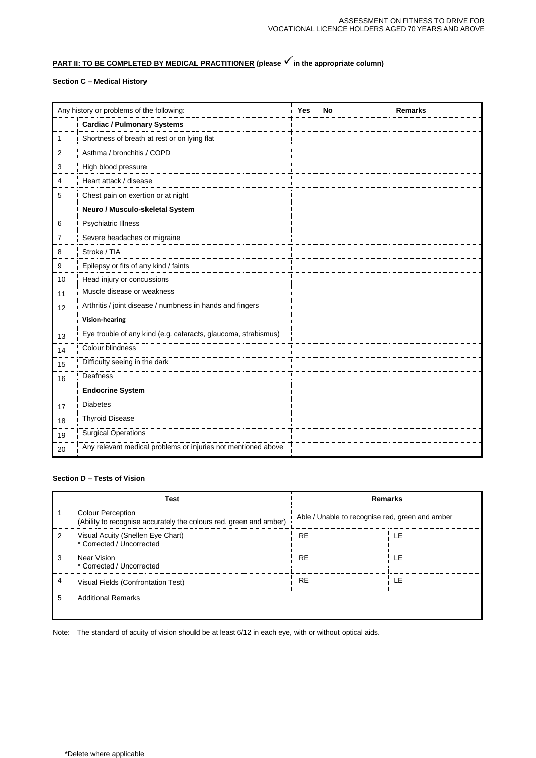# **PART II: TO BE COMPLETED BY MEDICAL PRACTITIONER (please √ in the appropriate column)**

## **Section C – Medical History**

| Any history or problems of the following: |                                                                | <b>Yes</b> | <b>No</b> | <b>Remarks</b> |
|-------------------------------------------|----------------------------------------------------------------|------------|-----------|----------------|
|                                           | <b>Cardiac / Pulmonary Systems</b>                             |            |           |                |
| 1                                         | Shortness of breath at rest or on lying flat                   |            |           |                |
| 2                                         | Asthma / bronchitis / COPD                                     |            |           |                |
| 3                                         | High blood pressure                                            |            |           |                |
| 4                                         | Heart attack / disease                                         |            |           |                |
| 5                                         | Chest pain on exertion or at night                             |            |           |                |
|                                           | Neuro / Musculo-skeletal System                                |            |           |                |
| 6                                         | <b>Psychiatric Illness</b>                                     |            |           |                |
| 7                                         | Severe headaches or migraine                                   |            |           |                |
| 8                                         | Stroke / TIA                                                   |            |           |                |
| 9                                         | Epilepsy or fits of any kind / faints                          |            |           |                |
| 10                                        | Head injury or concussions                                     |            |           |                |
| 11                                        | Muscle disease or weakness                                     |            |           |                |
| 12                                        | Arthritis / joint disease / numbness in hands and fingers      |            |           |                |
|                                           | <b>Vision-hearing</b>                                          |            |           |                |
| 13                                        | Eye trouble of any kind (e.g. cataracts, glaucoma, strabismus) |            |           |                |
| 14                                        | Colour blindness                                               |            |           |                |
| 15                                        | Difficulty seeing in the dark                                  |            |           |                |
| 16                                        | Deafness                                                       |            |           |                |
|                                           | <b>Endocrine System</b>                                        |            |           |                |
| 17                                        | <b>Diabetes</b>                                                |            |           |                |
| 18                                        | <b>Thyroid Disease</b>                                         |            |           |                |
| 19                                        | Surgical Operations                                            |            |           |                |
| 20                                        | Any relevant medical problems or injuries not mentioned above  |            |           |                |

### **Section D – Tests of Vision**

| <b>Test</b> |                                                                                                | <b>Remarks</b>                                  |  |     |  |
|-------------|------------------------------------------------------------------------------------------------|-------------------------------------------------|--|-----|--|
|             | <b>Colour Perception</b><br>(Ability to recognise accurately the colours red, green and amber) | Able / Unable to recognise red, green and amber |  |     |  |
| 2           | Visual Acuity (Snellen Eye Chart)<br>* Corrected / Uncorrected                                 | <b>RE</b>                                       |  | LE  |  |
| 3           | Near Vision<br>* Corrected / Uncorrected                                                       | <b>RE</b>                                       |  | I F |  |
| 4           | Visual Fields (Confrontation Test)                                                             | <b>RE</b>                                       |  | LE  |  |
| 5           | <b>Additional Remarks</b>                                                                      |                                                 |  |     |  |
|             |                                                                                                |                                                 |  |     |  |

Note: The standard of acuity of vision should be at least 6/12 in each eye, with or without optical aids.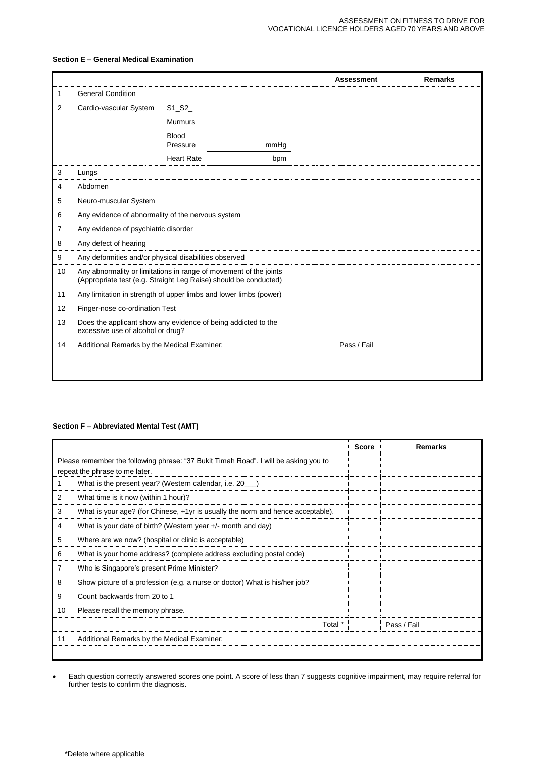### **Section E – General Medical Examination**

|    |                                                                                                                                       |                                     |      | <b>Assessment</b> | <b>Remarks</b> |
|----|---------------------------------------------------------------------------------------------------------------------------------------|-------------------------------------|------|-------------------|----------------|
| 1  | <b>General Condition</b>                                                                                                              |                                     |      |                   |                |
| 2  | Cardio-vascular System                                                                                                                | $S1$ <sub>_</sub> $S2$ <sub>_</sub> |      |                   |                |
|    |                                                                                                                                       | <b>Murmurs</b>                      |      |                   |                |
|    |                                                                                                                                       | <b>Blood</b><br>Pressure            | mmHq |                   |                |
|    |                                                                                                                                       | <b>Heart Rate</b>                   | bpm  |                   |                |
| 3  | Lungs                                                                                                                                 |                                     |      |                   |                |
| 4  | Abdomen                                                                                                                               |                                     |      |                   |                |
| 5  | Neuro-muscular System                                                                                                                 |                                     |      |                   |                |
| 6  | Any evidence of abnormality of the nervous system                                                                                     |                                     |      |                   |                |
| 7  | Any evidence of psychiatric disorder                                                                                                  |                                     |      |                   |                |
| 8  | Any defect of hearing                                                                                                                 |                                     |      |                   |                |
| 9  | Any deformities and/or physical disabilities observed                                                                                 |                                     |      |                   |                |
| 10 | Any abnormality or limitations in range of movement of the joints<br>(Appropriate test (e.g. Straight Leg Raise) should be conducted) |                                     |      |                   |                |
| 11 | Any limitation in strength of upper limbs and lower limbs (power)                                                                     |                                     |      |                   |                |
| 12 | Finger-nose co-ordination Test                                                                                                        |                                     |      |                   |                |
| 13 | Does the applicant show any evidence of being addicted to the<br>excessive use of alcohol or drug?                                    |                                     |      |                   |                |
| 14 | Additional Remarks by the Medical Examiner:                                                                                           |                                     |      | Pass / Fail       |                |
|    |                                                                                                                                       |                                     |      |                   |                |

## **Section F – Abbreviated Mental Test (AMT)**

|    |                                                                                      | <b>Score</b> | <b>Remarks</b> |
|----|--------------------------------------------------------------------------------------|--------------|----------------|
|    | Please remember the following phrase: "37 Bukit Timah Road". I will be asking you to |              |                |
|    | repeat the phrase to me later.                                                       |              |                |
| 1  | What is the present year? (Western calendar, i.e. 20 )                               |              |                |
| 2  | What time is it now (within 1 hour)?                                                 |              |                |
| 3  | What is your age? (for Chinese, +1yr is usually the norm and hence acceptable).      |              |                |
| 4  | What is your date of birth? (Western year +/- month and day)                         |              |                |
| 5  | Where are we now? (hospital or clinic is acceptable)                                 |              |                |
| 6  | What is your home address? (complete address excluding postal code)                  |              |                |
| 7  | Who is Singapore's present Prime Minister?                                           |              |                |
| 8  | Show picture of a profession (e.g. a nurse or doctor) What is his/her job?           |              |                |
| 9  | Count backwards from 20 to 1                                                         |              |                |
| 10 | Please recall the memory phrase.                                                     |              |                |
|    | Total *                                                                              |              | Pass / Fail    |
| 11 | Additional Remarks by the Medical Examiner:                                          |              |                |
|    |                                                                                      |              |                |

• Each question correctly answered scores one point. A score of less than 7 suggests cognitive impairment, may require referral for further tests to confirm the diagnosis.